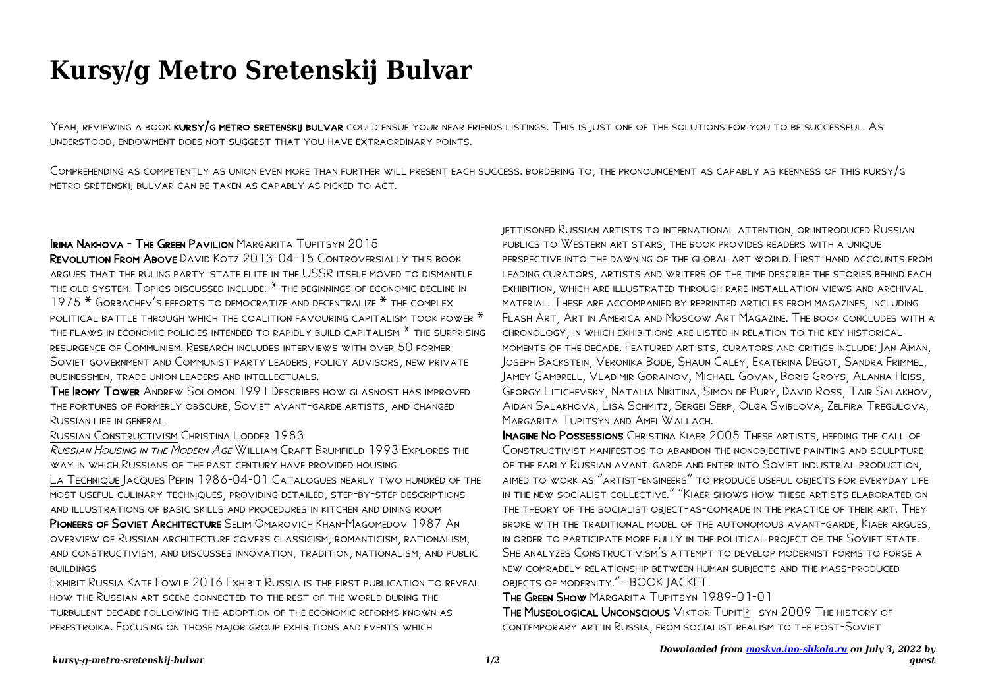## **Kursy/g Metro Sretenskij Bulvar**

YEAH, REVIEWING A BOOK KURSY/G METRO SRETENSKIJ BULVAR COULD ENSUE YOUR NEAR FRIENDS LISTINGS. THIS IS JUST ONE OF THE SOLUTIONS FOR YOU TO BE SUCCESSFUL. AS understood, endowment does not suggest that you have extraordinary points.

Comprehending as competently as union even more than further will present each success. bordering to, the pronouncement as capably as keenness of this kursy/g metro sretenskij bulvar can be taken as capably as picked to act.

## Irina Nakhova - The Green Pavilion Margarita Tupitsyn 2015

Revolution From Above David Kotz 2013-04-15 Controversially this book argues that the ruling party-state elite in the USSR itself moved to dismantle the old system. Topics discussed include: \* the beginnings of economic decline in 1975  $*$  Gorbachev's efforts to democratize and decentralize  $*$  the complex political battle through which the coalition favouring capitalism took power \* THE FLAWS IN ECONOMIC POLICIES INTENDED TO RAPIDLY BUILD CAPITALISM  $*$  the surprising resurgence of Communism. Research includes interviews with over 50 former Soviet government and Communist party leaders, policy advisors, new private businessmen, trade union leaders and intellectuals.

The Irony Tower Andrew Solomon 1991 Describes how glasnost has improved the fortunes of formerly obscure, Soviet avant-garde artists, and changed Russian life in general

Russian Constructivism Christina Lodder 1983

Russian Housing in the Modern Age William Craft Brumfield 1993 Explores the way in which Russians of the past century have provided housing.

La Technique Jacques Pepin 1986-04-01 Catalogues nearly two hundred of the most useful culinary techniques, providing detailed, step-by-step descriptions and illustrations of basic skills and procedures in kitchen and dining room

Pioneers of Soviet Architecture Selim Omarovich Khan-Magomedov 1987 An overview of Russian architecture covers classicism, romanticism, rationalism, and constructivism, and discusses innovation, tradition, nationalism, and public buildings

Exhibit Russia Kate Fowle 2016 Exhibit Russia is the first publication to reveal how the Russian art scene connected to the rest of the world during the turbulent decade following the adoption of the economic reforms known as perestroika. Focusing on those major group exhibitions and events which

jettisoned Russian artists to international attention, or introduced Russian publics to Western art stars, the book provides readers with a unique perspective into the dawning of the global art world. First-hand accounts from leading curators, artists and writers of the time describe the stories behind each exhibition, which are illustrated through rare installation views and archival material. These are accompanied by reprinted articles from magazines, including Flash Art, Art in America and Moscow Art Magazine. The book concludes with a chronology, in which exhibitions are listed in relation to the key historical moments of the decade. Featured artists, curators and critics include: Jan Aman, Joseph Backstein, Veronika Bode, Shaun Caley, Ekaterina Degot, Sandra Frimmel, Jamey Gambrell, Vladimir Gorainov, Michael Govan, Boris Groys, Alanna Heiss, Georgy Litichevsky, Natalia Nikitina, Simon de Pury, David Ross, Tair Salakhov, Aidan Salakhova, Lisa Schmitz, Sergei Serp, Olga Sviblova, Zelfira Tregulova, Margarita Tupitsyn and Amei Wallach.

Imagine No Possessions Christina Kiaer 2005 These artists, heeding the call of Constructivist manifestos to abandon the nonobjective painting and sculpture of the early Russian avant-garde and enter into Soviet industrial production, aimed to work as "artist-engineers" to produce useful objects for everyday life in the new socialist collective." "Kiaer shows how these artists elaborated on the theory of the socialist object-as-comrade in the practice of their art. They broke with the traditional model of the autonomous avant-garde, Kiaer argues, in order to participate more fully in the political project of the Soviet state. She analyzes Constructivism's attempt to develop modernist forms to forge a new comradely relationship between human subjects and the mass-produced objects of modernity."--BOOK JACKET.

The Green Show Margarita Tupitsyn 1989-01-01

THE MUSEOLOGICAL UNCONSCIOUS VIKTOR TUPIT**P** SYN 2009 THE HISTORY OF contemporary art in Russia, from socialist realism to the post-Soviet